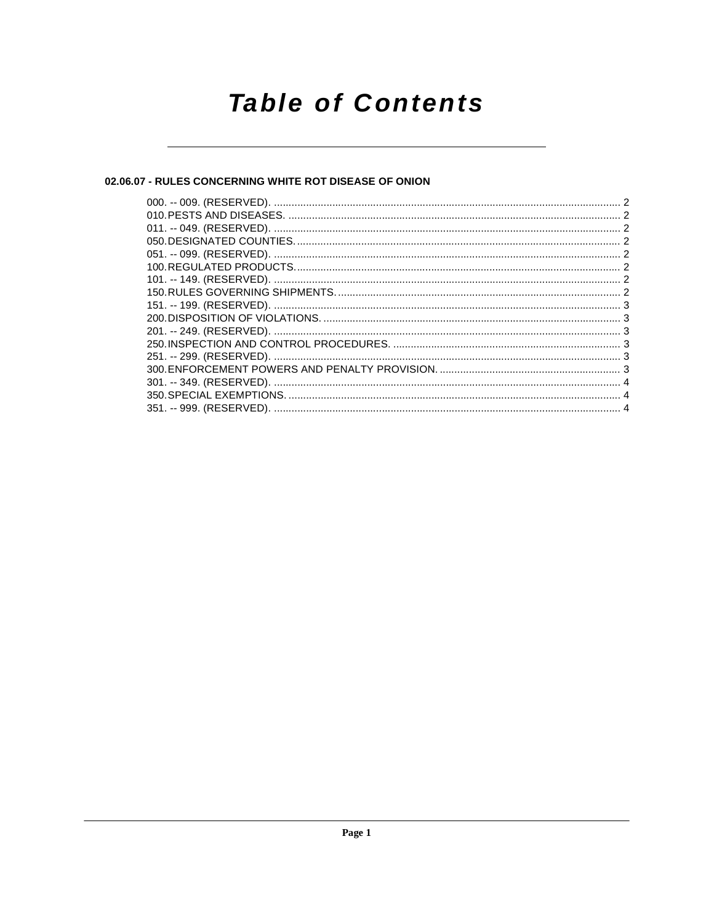# **Table of Contents**

# 02.06.07 - RULES CONCERNING WHITE ROT DISEASE OF ONION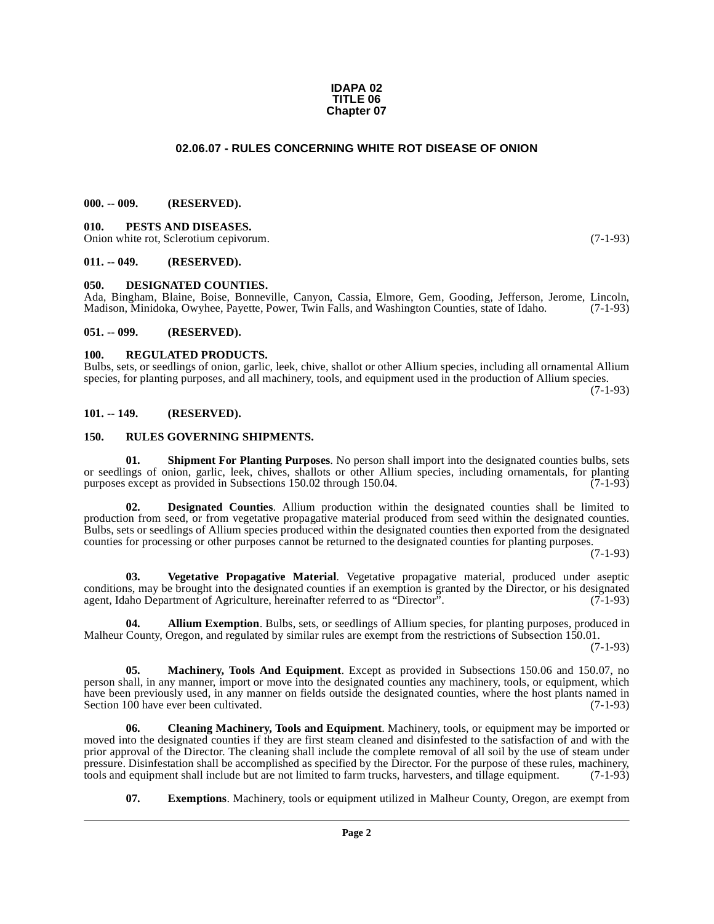#### **IDAPA 02 TITLE 06 Chapter 07**

#### **02.06.07 - RULES CONCERNING WHITE ROT DISEASE OF ONION**

#### <span id="page-1-1"></span><span id="page-1-0"></span>**000. -- 009. (RESERVED).**

<span id="page-1-14"></span><span id="page-1-2"></span>**010. PESTS AND DISEASES.** Onion white rot, Sclerotium cepivorum. (7-1-93)

#### <span id="page-1-3"></span>**011. -- 049. (RESERVED).**

#### <span id="page-1-11"></span><span id="page-1-4"></span>**050. DESIGNATED COUNTIES.**

Ada, Bingham, Blaine, Boise, Bonneville, Canyon, Cassia, Elmore, Gem, Gooding, Jefferson, Jerome, Lincoln, Madison, Minidoka, Owyhee, Pavette, Power, Twin Falls, and Washington Counties, state of Idaho. (7-1-93) Madison, Minidoka, Owyhee, Payette, Power, Twin Falls, and Washington Counties, state of Idaho.

#### <span id="page-1-5"></span>**051. -- 099. (RESERVED).**

#### <span id="page-1-15"></span><span id="page-1-6"></span>**100. REGULATED PRODUCTS.**

Bulbs, sets, or seedlings of onion, garlic, leek, chive, shallot or other Allium species, including all ornamental Allium species, for planting purposes, and all machinery, tools, and equipment used in the production of Allium species.

(7-1-93)

#### <span id="page-1-7"></span>**101. -- 149. (RESERVED).**

#### <span id="page-1-16"></span><span id="page-1-8"></span>**150. RULES GOVERNING SHIPMENTS.**

<span id="page-1-17"></span>**01. Shipment For Planting Purposes**. No person shall import into the designated counties bulbs, sets or seedlings of onion, garlic, leek, chives, shallots or other Allium species, including ornamentals, for planting purposes except as provided in Subsections 150.02 through 150.04. (7-1-93)

**02. Designated Counties**. Allium production within the designated counties shall be limited to production from seed, or from vegetative propagative material produced from seed within the designated counties. Bulbs, sets or seedlings of Allium species produced within the designated counties then exported from the designated counties for processing or other purposes cannot be returned to the designated counties for planting purposes.

(7-1-93)

<span id="page-1-18"></span>**03. Vegetative Propagative Material**. Vegetative propagative material, produced under aseptic conditions, may be brought into the designated counties if an exemption is granted by the Director, or his designated agent, Idaho Department of Agriculture, hereinafter referred to as "Director". (7-1-93)

<span id="page-1-9"></span>**04. Allium Exemption**. Bulbs, sets, or seedlings of Allium species, for planting purposes, produced in Malheur County, Oregon, and regulated by similar rules are exempt from the restrictions of Subsection 150.01.

(7-1-93)

<span id="page-1-13"></span>**05. Machinery, Tools And Equipment**. Except as provided in Subsections 150.06 and 150.07, no person shall, in any manner, import or move into the designated counties any machinery, tools, or equipment, which have been previously used, in any manner on fields outside the designated counties, where the host plants named in Section 100 have ever been cultivated. (7-1-93)

<span id="page-1-10"></span>**06. Cleaning Machinery, Tools and Equipment**. Machinery, tools, or equipment may be imported or moved into the designated counties if they are first steam cleaned and disinfested to the satisfaction of and with the prior approval of the Director. The cleaning shall include the complete removal of all soil by the use of steam under pressure. Disinfestation shall be accomplished as specified by the Director. For the purpose of these rules, machinery, tools and equipment shall include but are not limited to farm trucks, harvesters, and tillage equipment. (7-1-93)

<span id="page-1-12"></span>**07. Exemptions**. Machinery, tools or equipment utilized in Malheur County, Oregon, are exempt from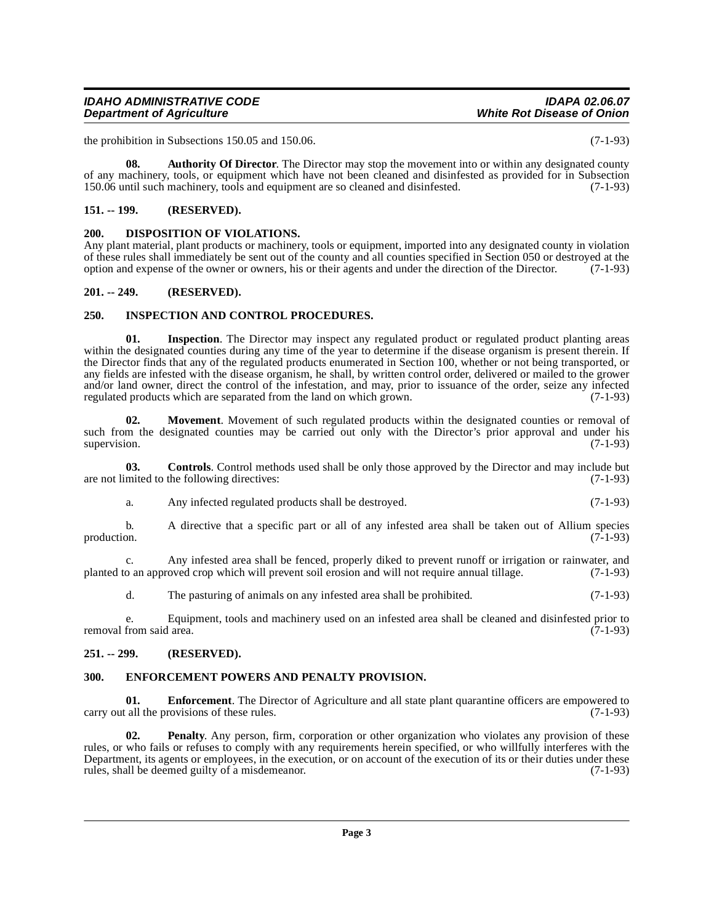# <span id="page-2-11"></span><span id="page-2-3"></span><span id="page-2-2"></span>**201. -- 249. (RESERVED). 250. INSPECTION AND CONTROL PROCEDURES.**

**Department of Agriculture** 

<span id="page-2-0"></span>**151. -- 199. (RESERVED).**

<span id="page-2-8"></span><span id="page-2-1"></span>**200. DISPOSITION OF VIOLATIONS.** 

<span id="page-2-12"></span>**01. Inspection**. The Director may inspect any regulated product or regulated product planting areas within the designated counties during any time of the year to determine if the disease organism is present therein. If the Director finds that any of the regulated products enumerated in Section 100, whether or not being transported, or any fields are infested with the disease organism, he shall, by written control order, delivered or mailed to the grower and/or land owner, direct the control of the infestation, and may, prior to issuance of the order, seize any infected regulated products which are separated from the land on which grown. (7-1-93) regulated products which are separated from the land on which grown.

Any plant material, plant products or machinery, tools or equipment, imported into any designated county in violation of these rules shall immediately be sent out of the county and all counties specified in Section 050 or destroyed at the option and expense of the owner or owners, his or their agents and under the direction of the Directo

option and expense of the owner or owners, his or their agents and under the direction of the Director.

<span id="page-2-6"></span>**08.** Authority Of Director. The Director may stop the movement into or within any designated county of any machinery, tools, or equipment which have not been cleaned and disinfested as provided for in Subsection 150.06 until such machinery, tools and equipment are so cleaned and disinfested. (7-1-93)

<span id="page-2-13"></span>**02. Movement**. Movement of such regulated products within the designated counties or removal of such from the designated counties may be carried out only with the Director's prior approval and under his supervision. (7-1-93) supervision. (7-1-93)

**03. Controls**. Control methods used shall be only those approved by the Director and may include but mited to the following directives: (7-1-93) are not limited to the following directives:

<span id="page-2-7"></span>a. Any infected regulated products shall be destroyed. (7-1-93)

b. A directive that a specific part or all of any infested area shall be taken out of Allium species production. (7-1-93) production. (7-1-93)

c. Any infested area shall be fenced, properly diked to prevent runoff or irrigation or rainwater, and planted to an approved crop which will prevent soil erosion and will not require annual tillage. (7-1-93)

d. The pasturing of animals on any infested area shall be prohibited. (7-1-93)

e. Equipment, tools and machinery used on an infested area shall be cleaned and disinfested prior to removal from said area. (7-1-93)

# <span id="page-2-4"></span>**251. -- 299. (RESERVED).**

# <span id="page-2-10"></span><span id="page-2-5"></span>**300. ENFORCEMENT POWERS AND PENALTY PROVISION.**

<span id="page-2-9"></span>**01. Enforcement**. The Director of Agriculture and all state plant quarantine officers are empowered to call the provisions of these rules. (7-1-93) carry out all the provisions of these rules.

<span id="page-2-14"></span>**02. Penalty**. Any person, firm, corporation or other organization who violates any provision of these rules, or who fails or refuses to comply with any requirements herein specified, or who willfully interferes with the Department, its agents or employees, in the execution, or on account of the execution of its or their duties under these rules, shall be deemed guilty of a misdemeanor. (7-1-93) rules, shall be deemed guilty of a misdemeanor.

# **IDAHO ADMINISTRATIVE CODE IDAPA 02.06.07**

the prohibition in Subsections 150.05 and 150.06. (7-1-93)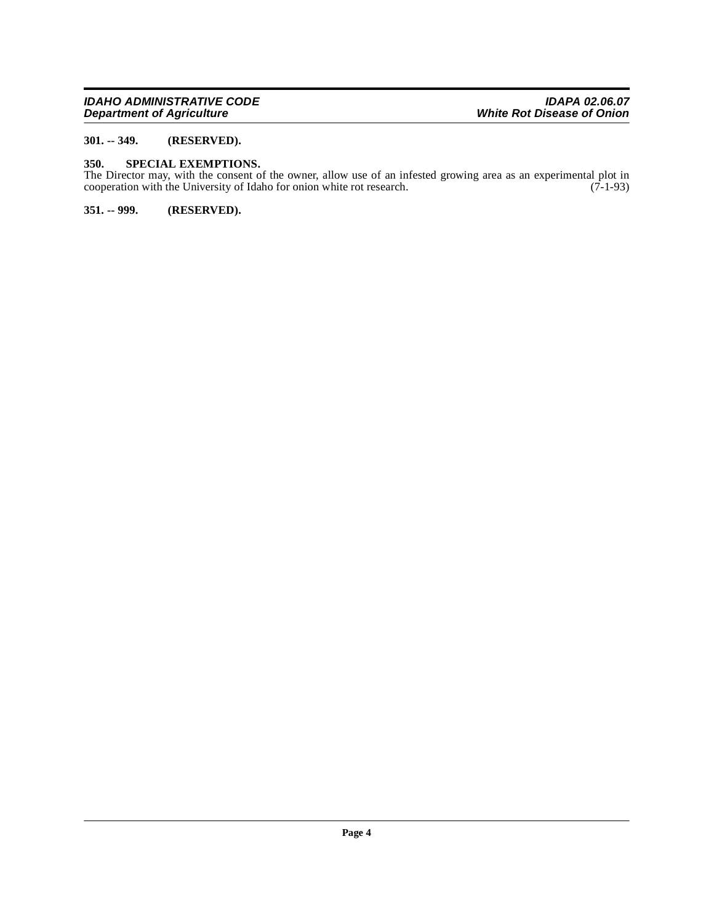#### <span id="page-3-0"></span>**301. -- 349. (RESERVED).**

#### <span id="page-3-3"></span><span id="page-3-1"></span>**350. SPECIAL EXEMPTIONS.**

The Director may, with the consent of the owner, allow use of an infested growing area as an experimental plot in cooperation with the University of Idaho for onion white rot research. (7-1-93)

#### <span id="page-3-2"></span>**351. -- 999. (RESERVED).**